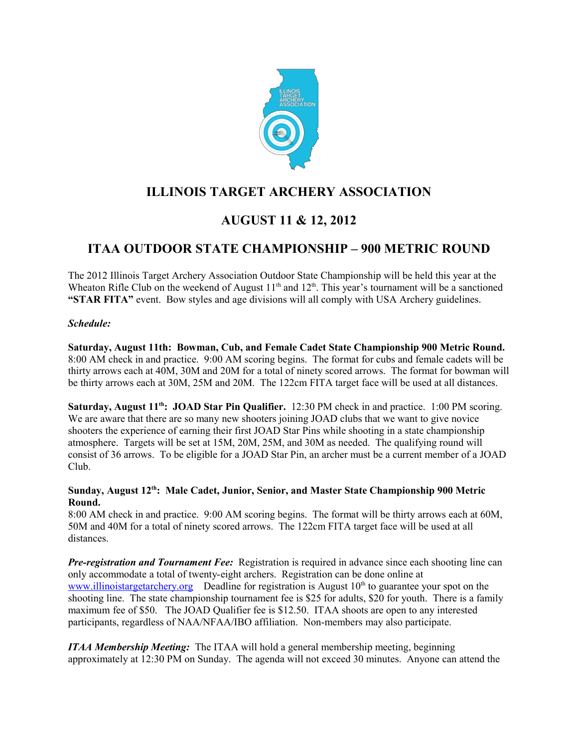

## **ILLINOIS TARGET ARCHERY ASSOCIATION**

# **AUGUST 11 & 12, 2012**

## **ITAA OUTDOOR STATE CHAMPIONSHIP – 900 METRIC ROUND**

The 2012 Illinois Target Archery Association Outdoor State Championship will be held this year at the Wheaton Rifle Club on the weekend of August  $11<sup>th</sup>$  and  $12<sup>th</sup>$ . This year's tournament will be a sanctioned **"STAR FITA"** event. Bow styles and age divisions will all comply with USA Archery guidelines.

#### *Schedule:*

**Saturday, August 11th: Bowman, Cub, and Female Cadet State Championship 900 Metric Round.** 8:00 AM check in and practice. 9:00 AM scoring begins. The format for cubs and female cadets will be thirty arrows each at 40M, 30M and 20M for a total of ninety scored arrows. The format for bowman will be thirty arrows each at 30M, 25M and 20M. The 122cm FITA target face will be used at all distances.

**Saturday, August 11th: JOAD Star Pin Qualifier.** 12:30 PM check in and practice. 1:00 PM scoring. We are aware that there are so many new shooters joining JOAD clubs that we want to give novice shooters the experience of earning their first JOAD Star Pins while shooting in a state championship atmosphere. Targets will be set at 15M, 20M, 25M, and 30M as needed. The qualifying round will consist of 36 arrows. To be eligible for a JOAD Star Pin, an archer must be a current member of a JOAD Club.

#### **Sunday, August 12th: Male Cadet, Junior, Senior, and Master State Championship 900 Metric Round.**

8:00 AM check in and practice. 9:00 AM scoring begins. The format will be thirty arrows each at 60M, 50M and 40M for a total of ninety scored arrows. The 122cm FITA target face will be used at all distances.

*Pre-registration and Tournament Fee:* Registration is required in advance since each shooting line can only accommodate a total of twenty-eight archers. Registration can be done online at [www.illinoistargetarchery.org](http://www.illinoistargetarchery.org/) Deadline for registration is August  $10<sup>th</sup>$  to guarantee your spot on the shooting line. The state championship tournament fee is \$25 for adults, \$20 for youth. There is a family maximum fee of \$50. The JOAD Qualifier fee is \$12.50. ITAA shoots are open to any interested participants, regardless of NAA/NFAA/IBO affiliation. Non-members may also participate.

*ITAA Membership Meeting:* The ITAA will hold a general membership meeting, beginning approximately at 12:30 PM on Sunday. The agenda will not exceed 30 minutes. Anyone can attend the